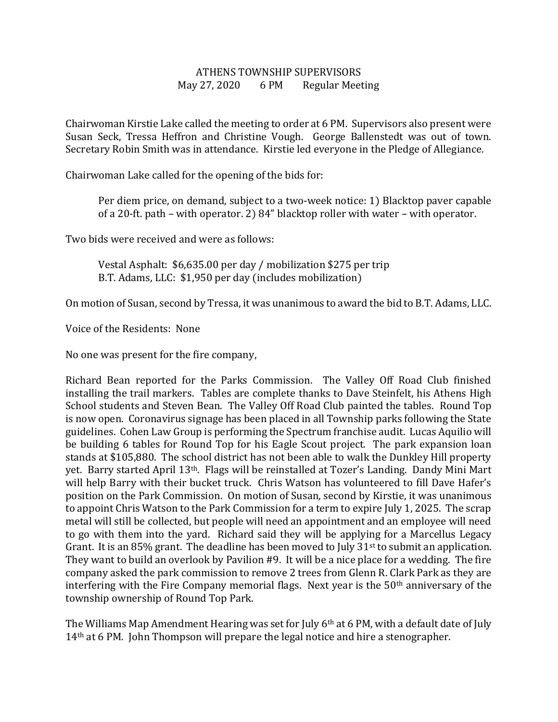## ATHENS TOWNSHIP SUPERVISORS May 27, 2020 6 PM Regular Meeting

Chairwoman Kirstie Lake called the meeting to order at 6 PM. Supervisors also present were Susan Seck, Tressa Heffron and Christine Vough. George Ballenstedt was out of town. Secretary Robin Smith was in attendance. Kirstie led everyone in the Pledge of Allegiance.

Chairwoman Lake called for the opening of the bids for:

Per diem price, on demand, subject to a two-week notice: 1) Blacktop paver capable of a 20-ft. path – with operator. 2) 84" blacktop roller with water – with operator.

Two bids were received and were as follows:

 Vestal Asphalt: \$6,635.00 per day / mobilization \$275 per trip B.T. Adams, LLC: \$1,950 per day (includes mobilization)

On motion of Susan, second by Tressa, it was unanimous to award the bid to B.T. Adams, LLC.

Voice of the Residents: None

No one was present for the fire company,

Richard Bean reported for the Parks Commission. The Valley Off Road Club finished installing the trail markers. Tables are complete thanks to Dave Steinfelt, his Athens High School students and Steven Bean. The Valley Off Road Club painted the tables. Round Top is now open. Coronavirus signage has been placed in all Township parks following the State guidelines. Cohen Law Group is performing the Spectrum franchise audit. Lucas Aquilio will be building 6 tables for Round Top for his Eagle Scout project. The park expansion loan stands at \$105,880. The school district has not been able to walk the Dunkley Hill property yet. Barry started April 13th. Flags will be reinstalled at Tozer's Landing. Dandy Mini Mart will help Barry with their bucket truck. Chris Watson has volunteered to fill Dave Hafer's position on the Park Commission. On motion of Susan, second by Kirstie, it was unanimous to appoint Chris Watson to the Park Commission for a term to expire July 1, 2025. The scrap metal will still be collected, but people will need an appointment and an employee will need to go with them into the yard. Richard said they will be applying for a Marcellus Legacy Grant. It is an 85% grant. The deadline has been moved to July 31<sup>st</sup> to submit an application. They want to build an overlook by Pavilion #9. It will be a nice place for a wedding. The fire company asked the park commission to remove 2 trees from Glenn R. Clark Park as they are interfering with the Fire Company memorial flags. Next year is the  $50<sup>th</sup>$  anniversary of the township ownership of Round Top Park.

The Williams Map Amendment Hearing was set for July 6<sup>th</sup> at 6 PM, with a default date of July 14<sup>th</sup> at 6 PM. John Thompson will prepare the legal notice and hire a stenographer.